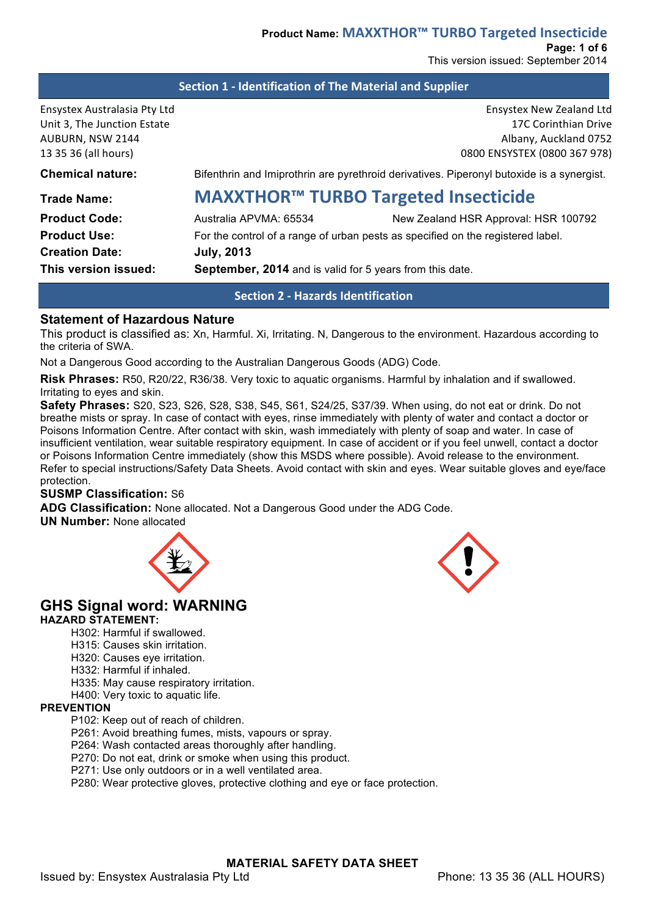**Section 1 - Identification of The Material and Supplier** 

| Ensystex Australasia Pty Ltd<br>Unit 3, The Junction Estate<br>AUBURN, NSW 2144<br>13 35 36 (all hours) |                                                                                 | Ensystex New Zealand Ltd<br>17C Corinthian Drive<br>Albany, Auckland 0752<br>0800 ENSYSTEX (0800 367 978) |
|---------------------------------------------------------------------------------------------------------|---------------------------------------------------------------------------------|-----------------------------------------------------------------------------------------------------------|
| <b>Chemical nature:</b>                                                                                 |                                                                                 | Bifenthrin and Imiprothrin are pyrethroid derivatives. Piperonyl butoxide is a synergist.                 |
| <b>Trade Name:</b>                                                                                      |                                                                                 | <b>MAXXTHOR™ TURBO Targeted Insecticide</b>                                                               |
| <b>Product Code:</b>                                                                                    | Australia APVMA: 65534                                                          | New Zealand HSR Approval: HSR 100792                                                                      |
| <b>Product Use:</b>                                                                                     | For the control of a range of urban pests as specified on the registered label. |                                                                                                           |
| <b>Creation Date:</b>                                                                                   | <b>July, 2013</b>                                                               |                                                                                                           |
| This version issued:                                                                                    | September, 2014 and is valid for 5 years from this date.                        |                                                                                                           |

**Section 2 - Hazards Identification**

## **Statement of Hazardous Nature**

This product is classified as: Xn, Harmful. Xi, Irritating. N, Dangerous to the environment. Hazardous according to the criteria of SWA.

Not a Dangerous Good according to the Australian Dangerous Goods (ADG) Code.

**Risk Phrases:** R50, R20/22, R36/38. Very toxic to aquatic organisms. Harmful by inhalation and if swallowed. Irritating to eyes and skin.

**Safety Phrases:** S20, S23, S26, S28, S38, S45, S61, S24/25, S37/39. When using, do not eat or drink. Do not breathe mists or spray. In case of contact with eyes, rinse immediately with plenty of water and contact a doctor or Poisons Information Centre. After contact with skin, wash immediately with plenty of soap and water. In case of insufficient ventilation, wear suitable respiratory equipment. In case of accident or if you feel unwell, contact a doctor or Poisons Information Centre immediately (show this MSDS where possible). Avoid release to the environment. Refer to special instructions/Safety Data Sheets. Avoid contact with skin and eyes. Wear suitable gloves and eye/face protection.

#### **SUSMP Classification:** S6

**ADG Classification:** None allocated. Not a Dangerous Good under the ADG Code. **UN Number:** None allocated



# **GHS Signal word: WARNING**

#### **HAZARD STATEMENT:**

- H302: Harmful if swallowed.
- H315: Causes skin irritation.
- H320: Causes eye irritation.
- H332: Harmful if inhaled.
- H335: May cause respiratory irritation.
- H400: Very toxic to aquatic life.

### **PREVENTION**

- P102: Keep out of reach of children.
- P261: Avoid breathing fumes, mists, vapours or spray.
- P264: Wash contacted areas thoroughly after handling.
- P270: Do not eat, drink or smoke when using this product.
- P271: Use only outdoors or in a well ventilated area.
- P280: Wear protective gloves, protective clothing and eye or face protection.

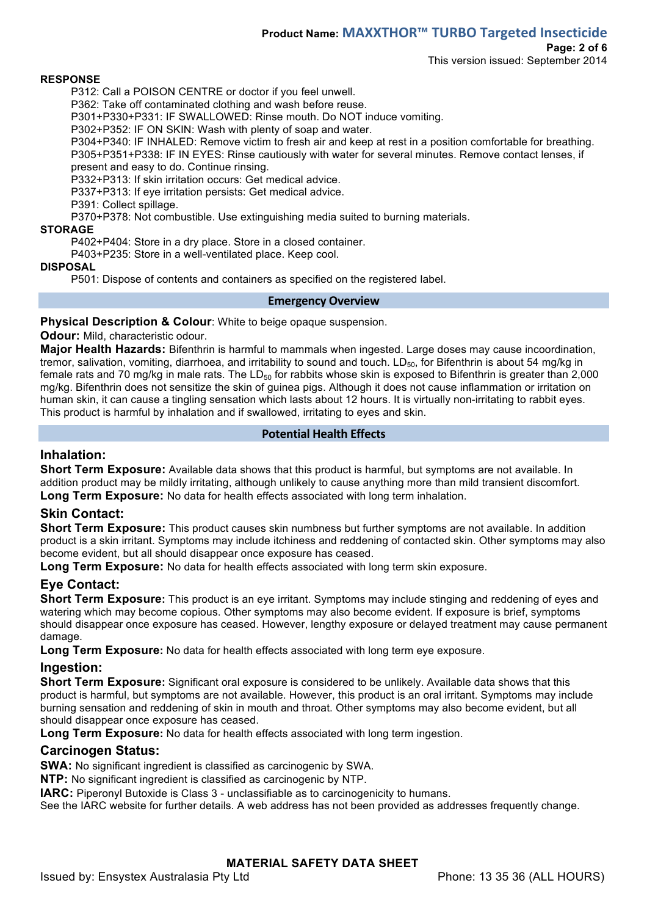## **Product Name: MAXXTHOR™ TURBO Targeted Insecticide**

**Page: 2 of 6**

This version issued: September 2014

#### **RESPONSE**

P312: Call a POISON CENTRE or doctor if you feel unwell.

P362: Take off contaminated clothing and wash before reuse.

P301+P330+P331: IF SWALLOWED: Rinse mouth. Do NOT induce vomiting.

P302+P352: IF ON SKIN: Wash with plenty of soap and water.

P304+P340: IF INHALED: Remove victim to fresh air and keep at rest in a position comfortable for breathing. P305+P351+P338: IF IN EYES: Rinse cautiously with water for several minutes. Remove contact lenses, if present and easy to do. Continue rinsing.

P332+P313: If skin irritation occurs: Get medical advice.

P337+P313: If eye irritation persists: Get medical advice.

P391: Collect spillage.

P370+P378: Not combustible. Use extinguishing media suited to burning materials.

#### **STORAGE**

P402+P404: Store in a dry place. Store in a closed container.

P403+P235: Store in a well-ventilated place. Keep cool.

#### **DISPOSAL**

P501: Dispose of contents and containers as specified on the registered label.

#### **Emergency Overview**

#### **Physical Description & Colour**: White to beige opaque suspension.

**Odour:** Mild, characteristic odour.

**Major Health Hazards:** Bifenthrin is harmful to mammals when ingested. Large doses may cause incoordination, tremor, salivation, vomiting, diarrhoea, and irritability to sound and touch.  $LD_{50}$ , for Bifenthrin is about 54 mg/kg in female rats and 70 mg/kg in male rats. The LD $_{50}$  for rabbits whose skin is exposed to Bifenthrin is greater than 2,000 mg/kg. Bifenthrin does not sensitize the skin of guinea pigs. Although it does not cause inflammation or irritation on human skin, it can cause a tingling sensation which lasts about 12 hours. It is virtually non-irritating to rabbit eyes. This product is harmful by inhalation and if swallowed, irritating to eyes and skin.

#### **Potential Health Effects**

#### **Inhalation:**

**Short Term Exposure:** Available data shows that this product is harmful, but symptoms are not available. In addition product may be mildly irritating, although unlikely to cause anything more than mild transient discomfort. **Long Term Exposure:** No data for health effects associated with long term inhalation.

### **Skin Contact:**

**Short Term Exposure:** This product causes skin numbness but further symptoms are not available. In addition product is a skin irritant. Symptoms may include itchiness and reddening of contacted skin. Other symptoms may also become evident, but all should disappear once exposure has ceased.

**Long Term Exposure:** No data for health effects associated with long term skin exposure.

## **Eye Contact:**

**Short Term Exposure:** This product is an eye irritant. Symptoms may include stinging and reddening of eyes and watering which may become copious. Other symptoms may also become evident. If exposure is brief, symptoms should disappear once exposure has ceased. However, lengthy exposure or delayed treatment may cause permanent damage.

**Long Term Exposure:** No data for health effects associated with long term eye exposure.

### **Ingestion:**

**Short Term Exposure:** Significant oral exposure is considered to be unlikely. Available data shows that this product is harmful, but symptoms are not available. However, this product is an oral irritant. Symptoms may include burning sensation and reddening of skin in mouth and throat. Other symptoms may also become evident, but all should disappear once exposure has ceased.

**Long Term Exposure:** No data for health effects associated with long term ingestion.

### **Carcinogen Status:**

**SWA:** No significant ingredient is classified as carcinogenic by SWA.

**NTP:** No significant ingredient is classified as carcinogenic by NTP.

**IARC:** Piperonyl Butoxide is Class 3 - unclassifiable as to carcinogenicity to humans.

See the IARC website for further details. A web address has not been provided as addresses frequently change.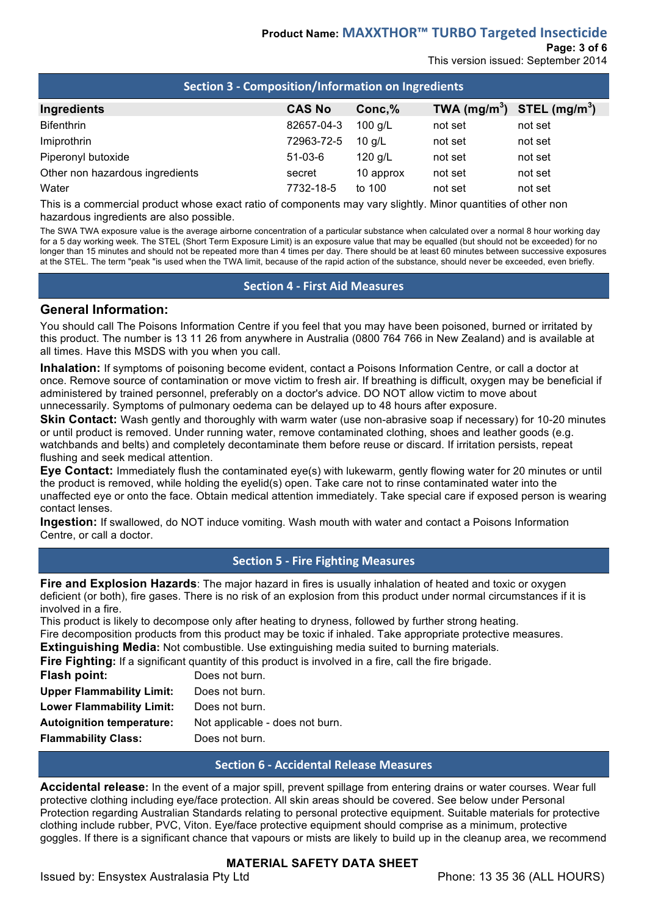## **Product Name: MAXXTHOR™ TURBO Targeted Insecticide**

## **Page: 3 of 6**

This version issued: September 2014

| Section 3 - Composition/Information on Ingredients |               |           |                                |         |  |  |
|----------------------------------------------------|---------------|-----------|--------------------------------|---------|--|--|
| Ingredients                                        | <b>CAS No</b> | Conc, %   | TWA $(mg/m^3)$ STEL $(mg/m^3)$ |         |  |  |
| <b>Bifenthrin</b>                                  | 82657-04-3    | 100 g/L   | not set                        | not set |  |  |
| Imiprothrin                                        | 72963-72-5    | $10$ g/L  | not set                        | not set |  |  |
| Piperonyl butoxide                                 | $51-03-6$     | 120 g/L   | not set                        | not set |  |  |
| Other non hazardous ingredients                    | secret        | 10 approx | not set                        | not set |  |  |
| Water                                              | 7732-18-5     | to 100    | not set                        | not set |  |  |

This is a commercial product whose exact ratio of components may vary slightly. Minor quantities of other non hazardous ingredients are also possible.

The SWA TWA exposure value is the average airborne concentration of a particular substance when calculated over a normal 8 hour working day for a 5 day working week. The STEL (Short Term Exposure Limit) is an exposure value that may be equalled (but should not be exceeded) for no longer than 15 minutes and should not be repeated more than 4 times per day. There should be at least 60 minutes between successive exposures at the STEL. The term "peak "is used when the TWA limit, because of the rapid action of the substance, should never be exceeded, even briefly.

#### **Section 4 - First Aid Measures**

## **General Information:**

You should call The Poisons Information Centre if you feel that you may have been poisoned, burned or irritated by this product. The number is 13 11 26 from anywhere in Australia (0800 764 766 in New Zealand) and is available at all times. Have this MSDS with you when you call.

**Inhalation:** If symptoms of poisoning become evident, contact a Poisons Information Centre, or call a doctor at once. Remove source of contamination or move victim to fresh air. If breathing is difficult, oxygen may be beneficial if administered by trained personnel, preferably on a doctor's advice. DO NOT allow victim to move about unnecessarily. Symptoms of pulmonary oedema can be delayed up to 48 hours after exposure.

**Skin Contact:** Wash gently and thoroughly with warm water (use non-abrasive soap if necessary) for 10-20 minutes or until product is removed. Under running water, remove contaminated clothing, shoes and leather goods (e.g. watchbands and belts) and completely decontaminate them before reuse or discard. If irritation persists, repeat flushing and seek medical attention.

**Eye Contact:** Immediately flush the contaminated eye(s) with lukewarm, gently flowing water for 20 minutes or until the product is removed, while holding the eyelid(s) open. Take care not to rinse contaminated water into the unaffected eye or onto the face. Obtain medical attention immediately. Take special care if exposed person is wearing contact lenses.

**Ingestion:** If swallowed, do NOT induce vomiting. Wash mouth with water and contact a Poisons Information Centre, or call a doctor.

### **Section 5 - Fire Fighting Measures**

**Fire and Explosion Hazards**: The major hazard in fires is usually inhalation of heated and toxic or oxygen deficient (or both), fire gases. There is no risk of an explosion from this product under normal circumstances if it is involved in a fire.

This product is likely to decompose only after heating to dryness, followed by further strong heating. Fire decomposition products from this product may be toxic if inhaled. Take appropriate protective measures.

**Extinguishing Media:** Not combustible. Use extinguishing media suited to burning materials.

**Fire Fighting:** If a significant quantity of this product is involved in a fire, call the fire brigade.

| Flash point:                     | Does not burn.                  |
|----------------------------------|---------------------------------|
| <b>Upper Flammability Limit:</b> | Does not burn.                  |
| <b>Lower Flammability Limit:</b> | Does not burn.                  |
| <b>Autoignition temperature:</b> | Not applicable - does not burn. |
| <b>Flammability Class:</b>       | Does not burn.                  |

### **Section 6 - Accidental Release Measures**

**Accidental release:** In the event of a major spill, prevent spillage from entering drains or water courses. Wear full protective clothing including eye/face protection. All skin areas should be covered. See below under Personal Protection regarding Australian Standards relating to personal protective equipment. Suitable materials for protective clothing include rubber, PVC, Viton. Eye/face protective equipment should comprise as a minimum, protective goggles. If there is a significant chance that vapours or mists are likely to build up in the cleanup area, we recommend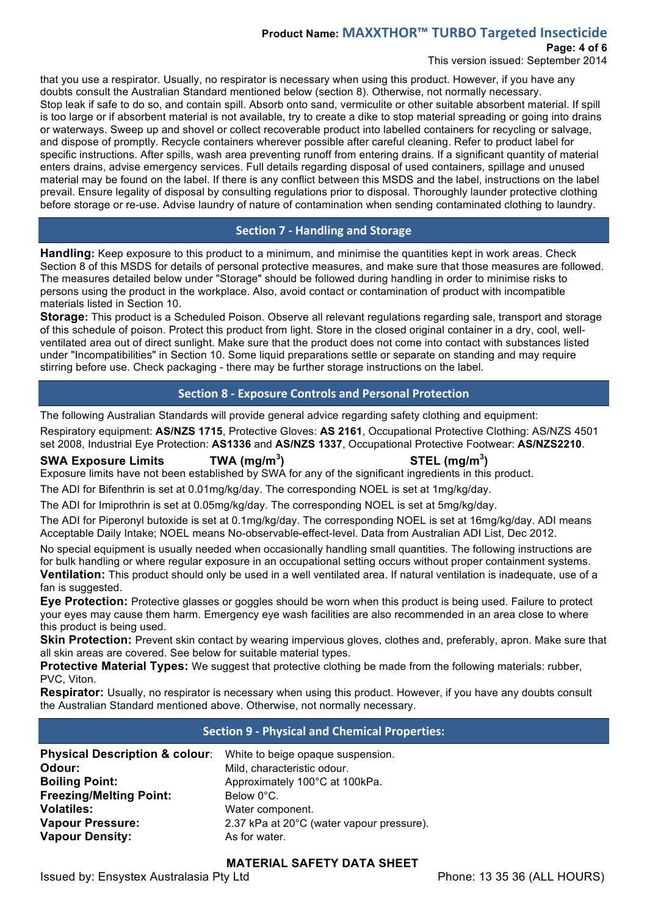## **Product Name: MAXXTHOR™ TURBO Targeted Insecticide**

**Page: 4 of 6**

This version issued: September 2014

that you use a respirator. Usually, no respirator is necessary when using this product. However, if you have any doubts consult the Australian Standard mentioned below (section 8). Otherwise, not normally necessary. Stop leak if safe to do so, and contain spill. Absorb onto sand, vermiculite or other suitable absorbent material. If spill is too large or if absorbent material is not available, try to create a dike to stop material spreading or going into drains or waterways. Sweep up and shovel or collect recoverable product into labelled containers for recycling or salvage, and dispose of promptly. Recycle containers wherever possible after careful cleaning. Refer to product label for specific instructions. After spills, wash area preventing runoff from entering drains. If a significant quantity of material enters drains, advise emergency services. Full details regarding disposal of used containers, spillage and unused material may be found on the label. If there is any conflict between this MSDS and the label, instructions on the label prevail. Ensure legality of disposal by consulting regulations prior to disposal. Thoroughly launder protective clothing before storage or re-use. Advise laundry of nature of contamination when sending contaminated clothing to laundry.

## **Section 7 - Handling and Storage**

**Handling:** Keep exposure to this product to a minimum, and minimise the quantities kept in work areas. Check Section 8 of this MSDS for details of personal protective measures, and make sure that those measures are followed. The measures detailed below under "Storage" should be followed during handling in order to minimise risks to persons using the product in the workplace. Also, avoid contact or contamination of product with incompatible materials listed in Section 10.

**Storage:** This product is a Scheduled Poison. Observe all relevant regulations regarding sale, transport and storage of this schedule of poison. Protect this product from light. Store in the closed original container in a dry, cool, wellventilated area out of direct sunlight. Make sure that the product does not come into contact with substances listed under "Incompatibilities" in Section 10. Some liquid preparations settle or separate on standing and may require stirring before use. Check packaging - there may be further storage instructions on the label.

## **Section 8 - Exposure Controls and Personal Protection**

The following Australian Standards will provide general advice regarding safety clothing and equipment:

Respiratory equipment: **AS/NZS 1715**, Protective Gloves: **AS 2161**, Occupational Protective Clothing: AS/NZS 4501 set 2008, Industrial Eye Protection: **AS1336** and **AS/NZS 1337**, Occupational Protective Footwear: **AS/NZS2210**.

**SWA Exposure Limits TWA (mg/m<sup>3</sup>**

## **) STEL (mg/m<sup>3</sup> )**

Exposure limits have not been established by SWA for any of the significant ingredients in this product.

The ADI for Bifenthrin is set at 0.01mg/kg/day. The corresponding NOEL is set at 1mg/kg/day.

The ADI for Imiprothrin is set at 0.05mg/kg/day. The corresponding NOEL is set at 5mg/kg/day.

The ADI for Piperonyl butoxide is set at 0.1mg/kg/day. The corresponding NOEL is set at 16mg/kg/day. ADI means Acceptable Daily Intake; NOEL means No-observable-effect-level. Data from Australian ADI List, Dec 2012.

No special equipment is usually needed when occasionally handling small quantities. The following instructions are for bulk handling or where regular exposure in an occupational setting occurs without proper containment systems. **Ventilation:** This product should only be used in a well ventilated area. If natural ventilation is inadequate, use of a fan is suggested.

**Eye Protection:** Protective glasses or goggles should be worn when this product is being used. Failure to protect your eyes may cause them harm. Emergency eye wash facilities are also recommended in an area close to where this product is being used.

**Skin Protection:** Prevent skin contact by wearing impervious gloves, clothes and, preferably, apron. Make sure that all skin areas are covered. See below for suitable material types.

**Protective Material Types:** We suggest that protective clothing be made from the following materials: rubber, PVC, Viton.

**Respirator:** Usually, no respirator is necessary when using this product. However, if you have any doubts consult the Australian Standard mentioned above. Otherwise, not normally necessary.

## **Section 9 - Physical and Chemical Properties:**

| <b>Physical Description &amp; colour:</b> White to beige opaque suspension.<br>Odour: | Mild, characteristic odour.               |
|---------------------------------------------------------------------------------------|-------------------------------------------|
| <b>Boiling Point:</b>                                                                 | Approximately 100°C at 100kPa.            |
| <b>Freezing/Melting Point:</b>                                                        | Below 0°C.                                |
| <b>Volatiles:</b>                                                                     | Water component.                          |
| <b>Vapour Pressure:</b>                                                               | 2.37 kPa at 20°C (water vapour pressure). |
| <b>Vapour Density:</b>                                                                | As for water.                             |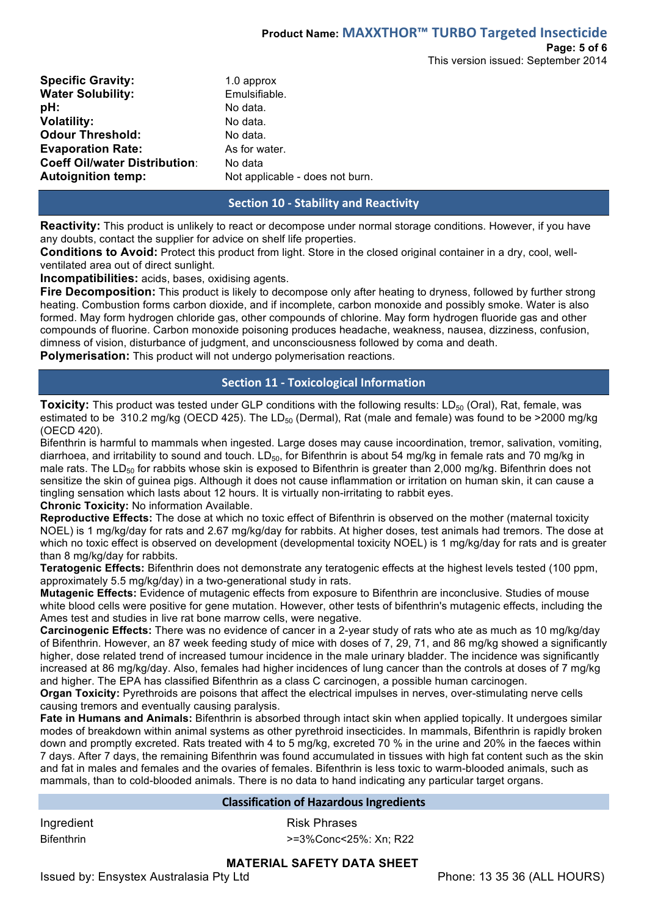| <b>Specific Gravity:</b>             | 1.0 approx                      |
|--------------------------------------|---------------------------------|
| <b>Water Solubility:</b>             | Emulsifiable.                   |
| pH:                                  | No data.                        |
| <b>Volatility:</b>                   | No data.                        |
| <b>Odour Threshold:</b>              | No data.                        |
| <b>Evaporation Rate:</b>             | As for water.                   |
| <b>Coeff Oil/water Distribution:</b> | No data                         |
| <b>Autoignition temp:</b>            | Not applicable - does not burn. |
|                                      |                                 |

### **Section 10 - Stability and Reactivity**

**Reactivity:** This product is unlikely to react or decompose under normal storage conditions. However, if you have any doubts, contact the supplier for advice on shelf life properties.

**Conditions to Avoid:** Protect this product from light. Store in the closed original container in a dry, cool, wellventilated area out of direct sunlight.

**Incompatibilities:** acids, bases, oxidising agents.

**Fire Decomposition:** This product is likely to decompose only after heating to dryness, followed by further strong heating. Combustion forms carbon dioxide, and if incomplete, carbon monoxide and possibly smoke. Water is also formed. May form hydrogen chloride gas, other compounds of chlorine. May form hydrogen fluoride gas and other compounds of fluorine. Carbon monoxide poisoning produces headache, weakness, nausea, dizziness, confusion, dimness of vision, disturbance of judgment, and unconsciousness followed by coma and death. **Polymerisation:** This product will not undergo polymerisation reactions.

### **Section 11 - Toxicological Information**

**Toxicity:** This product was tested under GLP conditions with the following results: LD<sub>50</sub> (Oral), Rat, female, was estimated to be 310.2 mg/kg (OECD 425). The LD $_{50}$  (Dermal), Rat (male and female) was found to be >2000 mg/kg (OECD 420).

Bifenthrin is harmful to mammals when ingested. Large doses may cause incoordination, tremor, salivation, vomiting, diarrhoea, and irritability to sound and touch. LD<sub>50</sub>, for Bifenthrin is about 54 mg/kg in female rats and 70 mg/kg in male rats. The LD<sub>50</sub> for rabbits whose skin is exposed to Bifenthrin is greater than 2,000 mg/kg. Bifenthrin does not sensitize the skin of guinea pigs. Although it does not cause inflammation or irritation on human skin, it can cause a tingling sensation which lasts about 12 hours. It is virtually non-irritating to rabbit eyes.

**Chronic Toxicity:** No information Available.

**Reproductive Effects:** The dose at which no toxic effect of Bifenthrin is observed on the mother (maternal toxicity NOEL) is 1 mg/kg/day for rats and 2.67 mg/kg/day for rabbits. At higher doses, test animals had tremors. The dose at which no toxic effect is observed on development (developmental toxicity NOEL) is 1 mg/kg/day for rats and is greater than 8 mg/kg/day for rabbits.

**Teratogenic Effects:** Bifenthrin does not demonstrate any teratogenic effects at the highest levels tested (100 ppm, approximately 5.5 mg/kg/day) in a two-generational study in rats.

**Mutagenic Effects:** Evidence of mutagenic effects from exposure to Bifenthrin are inconclusive. Studies of mouse white blood cells were positive for gene mutation. However, other tests of bifenthrin's mutagenic effects, including the Ames test and studies in live rat bone marrow cells, were negative.

**Carcinogenic Effects:** There was no evidence of cancer in a 2-year study of rats who ate as much as 10 mg/kg/day of Bifenthrin. However, an 87 week feeding study of mice with doses of 7, 29, 71, and 86 mg/kg showed a significantly higher, dose related trend of increased tumour incidence in the male urinary bladder. The incidence was significantly increased at 86 mg/kg/day. Also, females had higher incidences of lung cancer than the controls at doses of 7 mg/kg and higher. The EPA has classified Bifenthrin as a class C carcinogen, a possible human carcinogen.

**Organ Toxicity:** Pyrethroids are poisons that affect the electrical impulses in nerves, over-stimulating nerve cells causing tremors and eventually causing paralysis.

**Fate in Humans and Animals:** Bifenthrin is absorbed through intact skin when applied topically. It undergoes similar modes of breakdown within animal systems as other pyrethroid insecticides. In mammals, Bifenthrin is rapidly broken down and promptly excreted. Rats treated with 4 to 5 mg/kg, excreted 70 % in the urine and 20% in the faeces within 7 days. After 7 days, the remaining Bifenthrin was found accumulated in tissues with high fat content such as the skin and fat in males and females and the ovaries of females. Bifenthrin is less toxic to warm-blooded animals, such as mammals, than to cold-blooded animals. There is no data to hand indicating any particular target organs.

#### **Classification of Hazardous Ingredients**

Ingredient **Risk Phrases** 

Bifenthrin  $\rightarrow$ =3%Conc<25%: Xn; R22

#### **MATERIAL SAFETY DATA SHEET**

Issued by: Ensystex Australasia Pty Ltd Phone: 13 35 36 (ALL HOURS)